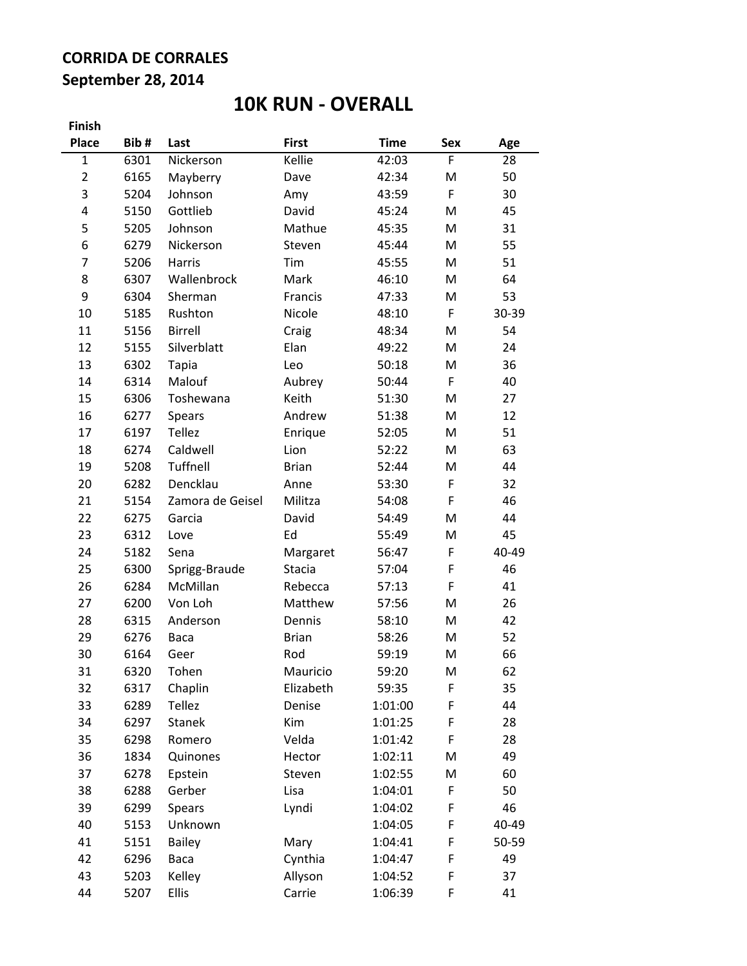## **CORRIDA DE CORRALES September 28, 2014**

## **10K RUN - OVERALL**

| Finish         |      |                  |               |             |             |       |
|----------------|------|------------------|---------------|-------------|-------------|-------|
| <b>Place</b>   | Bib# | Last             | <b>First</b>  | <b>Time</b> | Sex         | Age   |
| $\mathbf{1}$   | 6301 | Nickerson        | Kellie        | 42:03       | F           | 28    |
| $\overline{2}$ | 6165 | Mayberry         | Dave          | 42:34       | M           | 50    |
| 3              | 5204 | Johnson          | Amy           | 43:59       | $\mathsf F$ | 30    |
| 4              | 5150 | Gottlieb         | David         | 45:24       | M           | 45    |
| 5              | 5205 | Johnson          | Mathue        | 45:35       | M           | 31    |
| 6              | 6279 | Nickerson        | Steven        | 45:44       | M           | 55    |
| 7              | 5206 | Harris           | Tim           | 45:55       | M           | 51    |
| 8              | 6307 | Wallenbrock      | Mark          | 46:10       | M           | 64    |
| 9              | 6304 | Sherman          | Francis       | 47:33       | M           | 53    |
| 10             | 5185 | Rushton          | Nicole        | 48:10       | F           | 30-39 |
| 11             | 5156 | Birrell          | Craig         | 48:34       | M           | 54    |
| 12             | 5155 | Silverblatt      | Elan          | 49:22       | M           | 24    |
| 13             | 6302 | <b>Tapia</b>     | Leo           | 50:18       | M           | 36    |
| 14             | 6314 | Malouf           | Aubrey        | 50:44       | $\mathsf F$ | 40    |
| 15             | 6306 | Toshewana        | Keith         | 51:30       | M           | 27    |
| 16             | 6277 | Spears           | Andrew        | 51:38       | M           | 12    |
| 17             | 6197 | <b>Tellez</b>    | Enrique       | 52:05       | M           | 51    |
| 18             | 6274 | Caldwell         | Lion          | 52:22       | M           | 63    |
| 19             | 5208 | Tuffnell         | <b>Brian</b>  | 52:44       | M           | 44    |
| 20             | 6282 | Dencklau         | Anne          | 53:30       | $\mathsf F$ | 32    |
| 21             | 5154 | Zamora de Geisel | Militza       | 54:08       | $\mathsf F$ | 46    |
| 22             | 6275 | Garcia           | David         | 54:49       | M           | 44    |
| 23             | 6312 | Love             | Ed            | 55:49       | M           | 45    |
| 24             | 5182 | Sena             | Margaret      | 56:47       | F           | 40-49 |
| 25             | 6300 | Sprigg-Braude    | <b>Stacia</b> | 57:04       | F           | 46    |
| 26             | 6284 | McMillan         | Rebecca       | 57:13       | F           | 41    |
| 27             | 6200 | Von Loh          | Matthew       | 57:56       | M           | 26    |
| 28             | 6315 | Anderson         | Dennis        | 58:10       | M           | 42    |
| 29             | 6276 | Baca             | <b>Brian</b>  | 58:26       | M           | 52    |
| 30             | 6164 | Geer             | Rod           | 59:19       | M           | 66    |
| 31             | 6320 | Tohen            | Mauricio      | 59:20       | M           | 62    |
| 32             | 6317 | Chaplin          | Elizabeth     | 59:35       | F           | 35    |
| 33             | 6289 | Tellez           | Denise        | 1:01:00     | F           | 44    |
| 34             | 6297 | Stanek           | Kim           | 1:01:25     | F           | 28    |
| 35             | 6298 | Romero           | Velda         | 1:01:42     | F           | 28    |
| 36             | 1834 | Quinones         | Hector        | 1:02:11     | M           | 49    |
| 37             | 6278 | Epstein          | Steven        | 1:02:55     | M           | 60    |
| 38             | 6288 | Gerber           | Lisa          | 1:04:01     | F           | 50    |
| 39             | 6299 | Spears           | Lyndi         | 1:04:02     | F           | 46    |
| 40             | 5153 | Unknown          |               | 1:04:05     | F           | 40-49 |
| 41             | 5151 | <b>Bailey</b>    | Mary          | 1:04:41     | F           | 50-59 |
| 42             | 6296 | Baca             | Cynthia       | 1:04:47     | F           | 49    |
| 43             | 5203 | Kelley           | Allyson       | 1:04:52     | F           | 37    |
| 44             | 5207 | <b>Ellis</b>     | Carrie        | 1:06:39     | F           | 41    |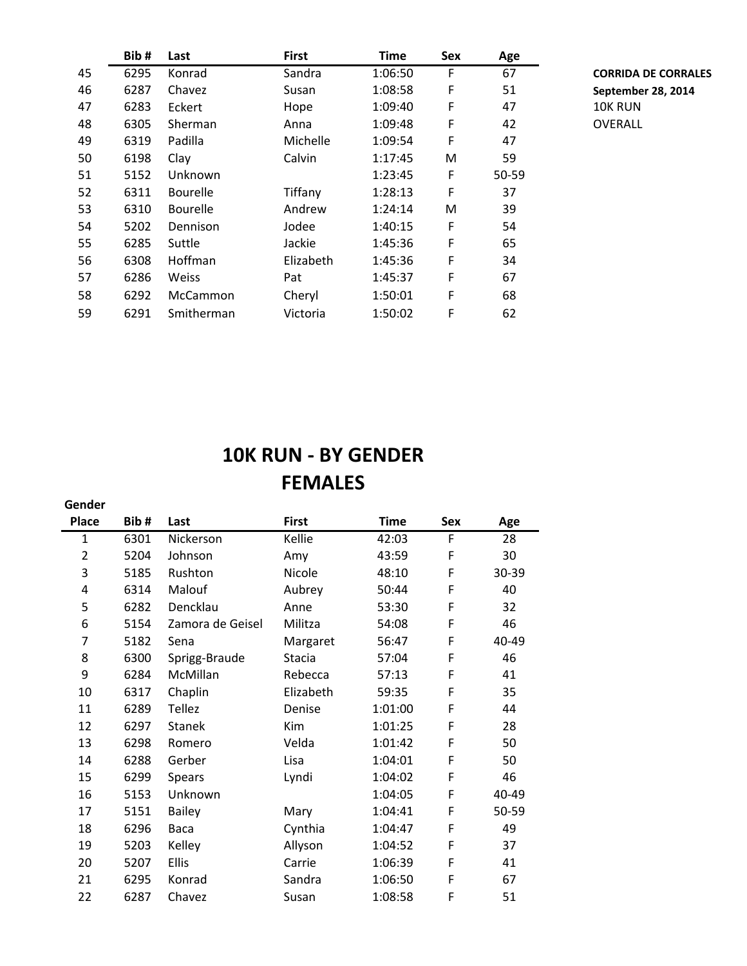|    | Bib# | Last            | <b>First</b> | <b>Time</b> | Sex | Age   |                |
|----|------|-----------------|--------------|-------------|-----|-------|----------------|
| 45 | 6295 | Konrad          | Sandra       | 1:06:50     | F   | 67    | <b>CORRIDA</b> |
| 46 | 6287 | Chavez          | Susan        | 1:08:58     | F   | 51    | Septembe       |
| 47 | 6283 | Eckert          | Hope         | 1:09:40     | F   | 47    | 10K RUN        |
| 48 | 6305 | <b>Sherman</b>  | Anna         | 1:09:48     | F   | 42    | OVERALL        |
| 49 | 6319 | Padilla         | Michelle     | 1:09:54     | F   | 47    |                |
| 50 | 6198 | Clay            | Calvin       | 1:17:45     | M   | 59    |                |
| 51 | 5152 | Unknown         |              | 1:23:45     | F   | 50-59 |                |
| 52 | 6311 | <b>Bourelle</b> | Tiffany      | 1:28:13     | F   | 37    |                |
| 53 | 6310 | <b>Bourelle</b> | Andrew       | 1:24:14     | M   | 39    |                |
| 54 | 5202 | Dennison        | Jodee        | 1:40:15     | F   | 54    |                |
| 55 | 6285 | Suttle          | Jackie       | 1:45:36     | F   | 65    |                |
| 56 | 6308 | Hoffman         | Elizabeth    | 1:45:36     | F   | 34    |                |
| 57 | 6286 | <b>Weiss</b>    | Pat          | 1:45:37     | F   | 67    |                |
| 58 | 6292 | McCammon        | Cheryl       | 1:50:01     | F   | 68    |                |
| 59 | 6291 | Smitherman      | Victoria     | 1:50:02     | F   | 62    |                |

 6295 Konrad Sandra 1:06:50 F 67 **CORRIDA DE CORRALES** 6287 Chavez Susan 1:08:58 F 51 **September 28, 2014**

## **10K RUN - BY GENDER FEMALES**

| Gender         |      |                  |               |             |     |       |
|----------------|------|------------------|---------------|-------------|-----|-------|
| <b>Place</b>   | Bib# | Last             | <b>First</b>  | <b>Time</b> | Sex | Age   |
| $\mathbf{1}$   | 6301 | Nickerson        | Kellie        | 42:03       | F   | 28    |
| $\overline{2}$ | 5204 | Johnson          | Amy           | 43:59       | F   | 30    |
| 3              | 5185 | Rushton          | Nicole        | 48:10       | F   | 30-39 |
| 4              | 6314 | Malouf           | Aubrey        | 50:44       | F   | 40    |
| 5              | 6282 | Dencklau         | Anne          | 53:30       | F   | 32    |
| 6              | 5154 | Zamora de Geisel | Militza       | 54:08       | F   | 46    |
| 7              | 5182 | Sena             | Margaret      | 56:47       | F   | 40-49 |
| 8              | 6300 | Sprigg-Braude    | <b>Stacia</b> | 57:04       | F   | 46    |
| 9              | 6284 | McMillan         | Rebecca       | 57:13       | F   | 41    |
| 10             | 6317 | Chaplin          | Elizabeth     | 59:35       | F   | 35    |
| 11             | 6289 | <b>Tellez</b>    | Denise        | 1:01:00     | F   | 44    |
| 12             | 6297 | <b>Stanek</b>    | Kim           | 1:01:25     | F   | 28    |
| 13             | 6298 | Romero           | Velda         | 1:01:42     | F   | 50    |
| 14             | 6288 | Gerber           | Lisa          | 1:04:01     | F   | 50    |
| 15             | 6299 | <b>Spears</b>    | Lyndi         | 1:04:02     | F   | 46    |
| 16             | 5153 | Unknown          |               | 1:04:05     | F   | 40-49 |
| 17             | 5151 | <b>Bailey</b>    | Mary          | 1:04:41     | F   | 50-59 |
| 18             | 6296 | Baca             | Cynthia       | 1:04:47     | F   | 49    |
| 19             | 5203 | Kelley           | Allyson       | 1:04:52     | F   | 37    |
| 20             | 5207 | Ellis            | Carrie        | 1:06:39     | F   | 41    |
| 21             | 6295 | Konrad           | Sandra        | 1:06:50     | F   | 67    |
| 22             | 6287 | Chavez           | Susan         | 1:08:58     | F   | 51    |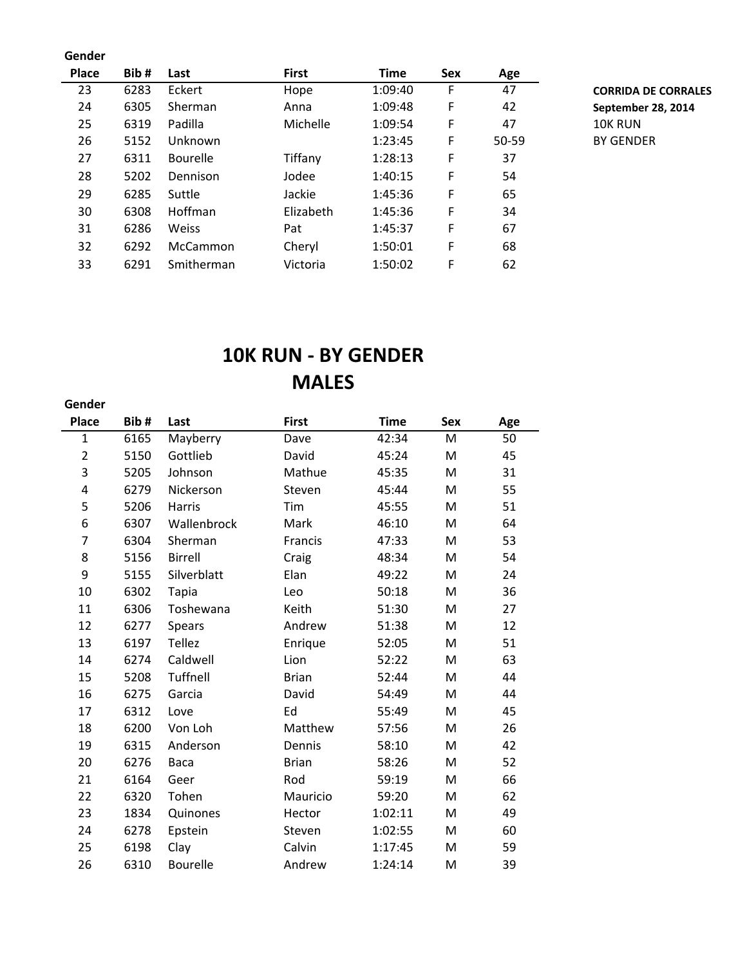#### **Gender**

**Gender**

| Place | Bib# | Last            | <b>First</b> | <b>Time</b> | Sex | Age   |                |
|-------|------|-----------------|--------------|-------------|-----|-------|----------------|
| 23    | 6283 | Eckert          | Hope         | 1:09:40     | F   | 47    | <b>CORRIDA</b> |
| 24    | 6305 | Sherman         | Anna         | 1:09:48     | F   | 42    | Septembe       |
| 25    | 6319 | Padilla         | Michelle     | 1:09:54     | F   | 47    | 10K RUN        |
| 26    | 5152 | Unknown         |              | 1:23:45     | F   | 50-59 | <b>BY GEND</b> |
| 27    | 6311 | <b>Bourelle</b> | Tiffany      | 1:28:13     | F   | 37    |                |
| 28    | 5202 | Dennison        | Jodee        | 1:40:15     | F   | 54    |                |
| 29    | 6285 | Suttle          | Jackie       | 1:45:36     | F   | 65    |                |
| 30    | 6308 | <b>Hoffman</b>  | Elizabeth    | 1:45:36     | F   | 34    |                |
| 31    | 6286 | Weiss           | Pat          | 1:45:37     | F   | 67    |                |
| 32    | 6292 | <b>McCammon</b> | Cheryl       | 1:50:01     | F   | 68    |                |
| 33    | 6291 | Smitherman      | Victoria     | 1:50:02     | F   | 62    |                |
|       |      |                 |              |             |     |       |                |

23 6283 Hope 1:09:40 F 47 **CORRIDA DE CORRALES** 24 6305 Sherman Anna 1:09:48 F 42 **September 28, 2014** BY GENDER

## **10K RUN - BY GENDER MALES**

| <b>Place</b>   | Bib# | Last            | <b>First</b> | <b>Time</b> | <b>Sex</b> | Age |
|----------------|------|-----------------|--------------|-------------|------------|-----|
| $\mathbf{1}$   | 6165 | Mayberry        | Dave         | 42:34       | M          | 50  |
| $\overline{2}$ | 5150 | Gottlieb        | David        | 45:24       | M          | 45  |
| 3              | 5205 | Johnson         | Mathue       | 45:35       | M          | 31  |
| 4              | 6279 | Nickerson       | Steven       | 45:44       | M          | 55  |
| 5              | 5206 | <b>Harris</b>   | Tim          | 45:55       | M          | 51  |
| 6              | 6307 | Wallenbrock     | Mark         | 46:10       | M          | 64  |
| 7              | 6304 | Sherman         | Francis      | 47:33       | M          | 53  |
| 8              | 5156 | Birrell         | Craig        | 48:34       | M          | 54  |
| 9              | 5155 | Silverblatt     | Elan         | 49:22       | M          | 24  |
| 10             | 6302 | <b>Tapia</b>    | Leo          | 50:18       | M          | 36  |
| 11             | 6306 | Toshewana       | Keith        | 51:30       | M          | 27  |
| 12             | 6277 | <b>Spears</b>   | Andrew       | 51:38       | M          | 12  |
| 13             | 6197 | <b>Tellez</b>   | Enrique      | 52:05       | M          | 51  |
| 14             | 6274 | Caldwell        | Lion         | 52:22       | M          | 63  |
| 15             | 5208 | <b>Tuffnell</b> | <b>Brian</b> | 52:44       | M          | 44  |
| 16             | 6275 | Garcia          | David        | 54:49       | M          | 44  |
| 17             | 6312 | Love            | Ed           | 55:49       | M          | 45  |
| 18             | 6200 | Von Loh         | Matthew      | 57:56       | M          | 26  |
| 19             | 6315 | Anderson        | Dennis       | 58:10       | M          | 42  |
| 20             | 6276 | Baca            | <b>Brian</b> | 58:26       | M          | 52  |
| 21             | 6164 | Geer            | Rod          | 59:19       | M          | 66  |
| 22             | 6320 | Tohen           | Mauricio     | 59:20       | M          | 62  |
| 23             | 1834 | Quinones        | Hector       | 1:02:11     | M          | 49  |
| 24             | 6278 | Epstein         | Steven       | 1:02:55     | M          | 60  |
| 25             | 6198 | Clay            | Calvin       | 1:17:45     | M          | 59  |
| 26             | 6310 | <b>Bourelle</b> | Andrew       | 1:24:14     | M          | 39  |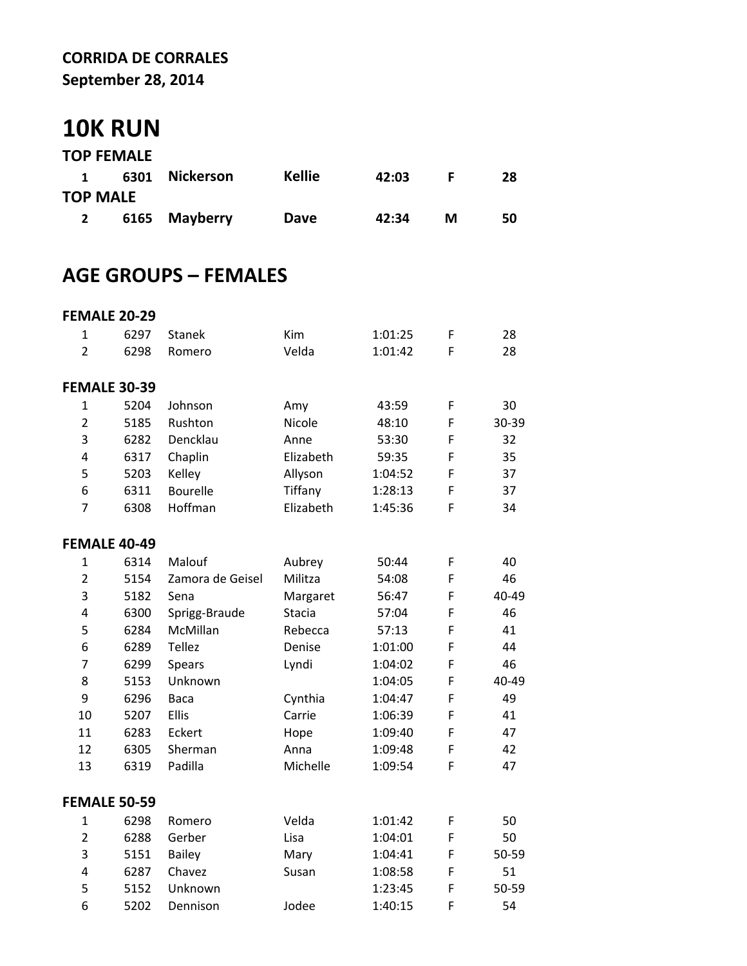### **CORRIDA DE CORRALES September 28, 2014**

# **10K RUN**

|                 | <b>TOP FEMALE</b> |                |               |       |   |    |
|-----------------|-------------------|----------------|---------------|-------|---|----|
| $\mathbf 1$     |                   | 6301 Nickerson | <b>Kellie</b> | 42:03 |   | 28 |
| <b>TOP MALE</b> |                   |                |               |       |   |    |
| $\mathbf{2}$    |                   | 6165 Mayberry  | Dave          | 42:34 | М | 50 |

## **AGE GROUPS – FEMALES**

|                | <b>FEMALE 20-29</b> |                  |           |         |   |       |  |
|----------------|---------------------|------------------|-----------|---------|---|-------|--|
| 1              | 6297                | <b>Stanek</b>    | Kim       | 1:01:25 | F | 28    |  |
| $\overline{2}$ | 6298                | Romero           | Velda     | 1:01:42 | F | 28    |  |
|                |                     |                  |           |         |   |       |  |
|                | <b>FEMALE 30-39</b> |                  |           |         |   |       |  |
| 1              | 5204                | Johnson          | Amy       | 43:59   | F | 30    |  |
| $\overline{2}$ | 5185                | Rushton          | Nicole    | 48:10   | F | 30-39 |  |
| 3              | 6282                | Dencklau         | Anne      | 53:30   | F | 32    |  |
| 4              | 6317                | Chaplin          | Elizabeth | 59:35   | F | 35    |  |
| 5              | 5203                | Kelley           | Allyson   | 1:04:52 | F | 37    |  |
| 6              | 6311                | Bourelle         | Tiffany   | 1:28:13 | F | 37    |  |
| 7              | 6308                | Hoffman          | Elizabeth | 1:45:36 | F | 34    |  |
|                |                     |                  |           |         |   |       |  |
|                | <b>FEMALE 40-49</b> |                  |           |         |   |       |  |
| 1              | 6314                | Malouf           | Aubrey    | 50:44   | F | 40    |  |
| $\overline{2}$ | 5154                | Zamora de Geisel | Militza   | 54:08   | F | 46    |  |
| 3              | 5182                | Sena             | Margaret  | 56:47   | F | 40-49 |  |
| 4              | 6300                | Sprigg-Braude    | Stacia    | 57:04   | F | 46    |  |
| 5              | 6284                | McMillan         | Rebecca   | 57:13   | F | 41    |  |
| 6              | 6289                | Tellez           | Denise    | 1:01:00 | F | 44    |  |
| 7              | 6299                | Spears           | Lyndi     | 1:04:02 | F | 46    |  |
| 8              | 5153                | Unknown          |           | 1:04:05 | F | 40-49 |  |
| 9              | 6296                | Baca             | Cynthia   | 1:04:47 | F | 49    |  |
| 10             | 5207                | Ellis            | Carrie    | 1:06:39 | F | 41    |  |
| 11             | 6283                | Eckert           | Hope      | 1:09:40 | F | 47    |  |
| 12             | 6305                | Sherman          | Anna      | 1:09:48 | F | 42    |  |
| 13             | 6319                | Padilla          | Michelle  | 1:09:54 | F | 47    |  |
|                |                     |                  |           |         |   |       |  |
|                | <b>FEMALE 50-59</b> |                  |           |         |   |       |  |
| 1              | 6298                | Romero           | Velda     | 1:01:42 | F | 50    |  |
| $\overline{2}$ | 6288                | Gerber           | Lisa      | 1:04:01 | F | 50    |  |
| 3              | 5151                | Bailey           | Mary      | 1:04:41 | F | 50-59 |  |
| 4              | 6287                | Chavez           | Susan     | 1:08:58 | F | 51    |  |
| 5              | 5152                | Unknown          |           | 1:23:45 | F | 50-59 |  |
| 6              | 5202                | Dennison         | Jodee     | 1:40:15 | F | 54    |  |